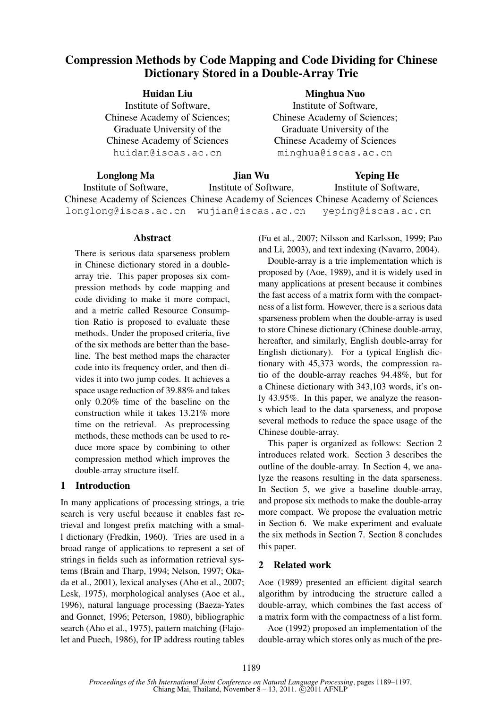# Compression Methods by Code Mapping and Code Dividing for Chinese Dictionary Stored in a Double-Array Trie

| Minghua Nuo                        |
|------------------------------------|
| Institute of Software,             |
| Chinese Academy of Sciences;       |
| Graduate University of the         |
| <b>Chinese Academy of Sciences</b> |
| minghua@iscas.ac.cn                |
|                                    |

| Longlong Ma                             | Jian Wu                | <b>Yeping He</b>                                                                    |  |  |
|-----------------------------------------|------------------------|-------------------------------------------------------------------------------------|--|--|
| Institute of Software,                  | Institute of Software. | Institute of Software,                                                              |  |  |
|                                         |                        | Chinese Academy of Sciences Chinese Academy of Sciences Chinese Academy of Sciences |  |  |
| longlong@iscas.ac.cn wujian@iscas.ac.cn |                        | yeping@iscas.ac.cn                                                                  |  |  |

### **Abstract**

There is serious data sparseness problem in Chinese dictionary stored in a doublearray trie. This paper proposes six compression methods by code mapping and code dividing to make it more compact, and a metric called Resource Consumption Ratio is proposed to evaluate these methods. Under the proposed criteria, five of the six methods are better than the baseline. The best method maps the character code into its frequency order, and then divides it into two jump codes. It achieves a space usage reduction of 39.88% and takes only 0.20% time of the baseline on the construction while it takes 13.21% more time on the retrieval. As preprocessing methods, these methods can be used to reduce more space by combining to other compression method which improves the double-array structure itself.

# 1 Introduction

In many applications of processing strings, a trie search is very useful because it enables fast retrieval and longest prefix matching with a small dictionary (Fredkin, 1960). Tries are used in a broad range of applications to represent a set of strings in fields such as information retrieval systems (Brain and Tharp, 1994; Nelson, 1997; Okada et al., 2001), lexical analyses (Aho et al., 2007; Lesk, 1975), morphological analyses (Aoe et al., 1996), natural language processing (Baeza-Yates and Gonnet, 1996; Peterson, 1980), bibliographic search (Aho et al., 1975), pattern matching (Flajolet and Puech, 1986), for IP address routing tables (Fu et al., 2007; Nilsson and Karlsson, 1999; Pao and Li, 2003), and text indexing (Navarro, 2004).

Double-array is a trie implementation which is proposed by (Aoe, 1989), and it is widely used in many applications at present because it combines the fast access of a matrix form with the compactness of a list form. However, there is a serious data sparseness problem when the double-array is used to store Chinese dictionary (Chinese double-array, hereafter, and similarly, English double-array for English dictionary). For a typical English dictionary with 45,373 words, the compression ratio of the double-array reaches 94.48%, but for a Chinese dictionary with 343,103 words, it's only 43.95%. In this paper, we analyze the reasons which lead to the data sparseness, and propose several methods to reduce the space usage of the Chinese double-array.

This paper is organized as follows: Section 2 introduces related work. Section 3 describes the outline of the double-array. In Section 4, we analyze the reasons resulting in the data sparseness. In Section 5, we give a baseline double-array, and propose six methods to make the double-array more compact. We propose the evaluation metric in Section 6. We make experiment and evaluate the six methods in Section 7. Section 8 concludes this paper.

# 2 Related work

Aoe (1989) presented an efficient digital search algorithm by introducing the structure called a double-array, which combines the fast access of a matrix form with the compactness of a list form.

Aoe (1992) proposed an implementation of the double-array which stores only as much of the pre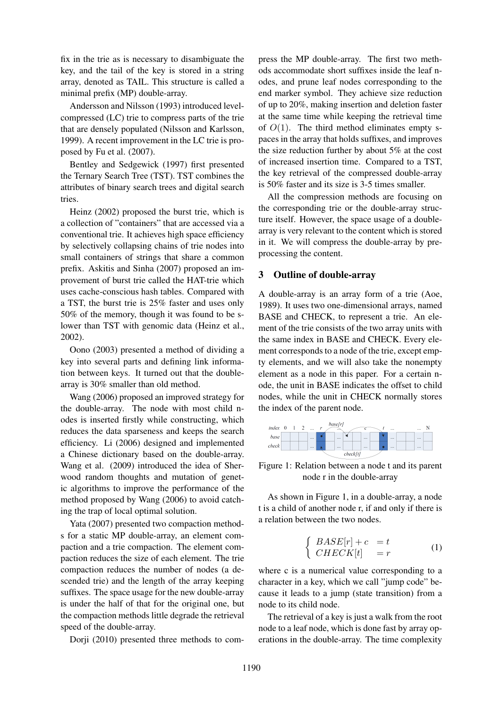fix in the trie as is necessary to disambiguate the key, and the tail of the key is stored in a string array, denoted as TAIL. This structure is called a minimal prefix (MP) double-array.

Andersson and Nilsson (1993) introduced levelcompressed (LC) trie to compress parts of the trie that are densely populated (Nilsson and Karlsson, 1999). A recent improvement in the LC trie is proposed by Fu et al. (2007).

Bentley and Sedgewick (1997) first presented the Ternary Search Tree (TST). TST combines the attributes of binary search trees and digital search tries.

Heinz (2002) proposed the burst trie, which is a collection of "containers" that are accessed via a conventional trie. It achieves high space efficiency by selectively collapsing chains of trie nodes into small containers of strings that share a common prefix. Askitis and Sinha (2007) proposed an improvement of burst trie called the HAT-trie which uses cache-conscious hash tables. Compared with a TST, the burst trie is 25% faster and uses only 50% of the memory, though it was found to be slower than TST with genomic data (Heinz et al., 2002).

Oono (2003) presented a method of dividing a key into several parts and defining link information between keys. It turned out that the doublearray is 30% smaller than old method.

Wang (2006) proposed an improved strategy for the double-array. The node with most child nodes is inserted firstly while constructing, which reduces the data sparseness and keeps the search efficiency. Li (2006) designed and implemented a Chinese dictionary based on the double-array. Wang et al. (2009) introduced the idea of Sherwood random thoughts and mutation of genetic algorithms to improve the performance of the method proposed by Wang (2006) to avoid catching the trap of local optimal solution.

Yata (2007) presented two compaction methods for a static MP double-array, an element compaction and a trie compaction. The element compaction reduces the size of each element. The trie compaction reduces the number of nodes (a descended trie) and the length of the array keeping suffixes. The space usage for the new double-array is under the half of that for the original one, but the compaction methods little degrade the retrieval speed of the double-array.

Dorji (2010) presented three methods to com-

press the MP double-array. The first two methods accommodate short suffixes inside the leaf nodes, and prune leaf nodes corresponding to the end marker symbol. They achieve size reduction of up to 20%, making insertion and deletion faster at the same time while keeping the retrieval time of  $O(1)$ . The third method eliminates empty spaces in the array that holds suffixes, and improves the size reduction further by about 5% at the cost of increased insertion time. Compared to a TST, the key retrieval of the compressed double-array is 50% faster and its size is 3-5 times smaller.

All the compression methods are focusing on the corresponding trie or the double-array structure itself. However, the space usage of a doublearray is very relevant to the content which is stored in it. We will compress the double-array by preprocessing the content.

### 3 Outline of double-array

A double-array is an array form of a trie (Aoe, 1989). It uses two one-dimensional arrays, named BASE and CHECK, to represent a trie. An element of the trie consists of the two array units with the same index in BASE and CHECK. Every element corresponds to a node of the trie, except empty elements, and we will also take the nonempty element as a node in this paper. For a certain node, the unit in BASE indicates the offset to child nodes, while the unit in CHECK normally stores the index of the parent node.



Figure 1: Relation between a node t and its parent node r in the double-array

As shown in Figure 1, in a double-array, a node t is a child of another node r, if and only if there is a relation between the two nodes.

$$
\begin{cases}\nBASE[r] + c &= t \\
CHECK[t] &= r\n\end{cases}
$$
\n(1)

where c is a numerical value corresponding to a character in a key, which we call "jump code" because it leads to a jump (state transition) from a node to its child node.

The retrieval of a key is just a walk from the root node to a leaf node, which is done fast by array operations in the double-array. The time complexity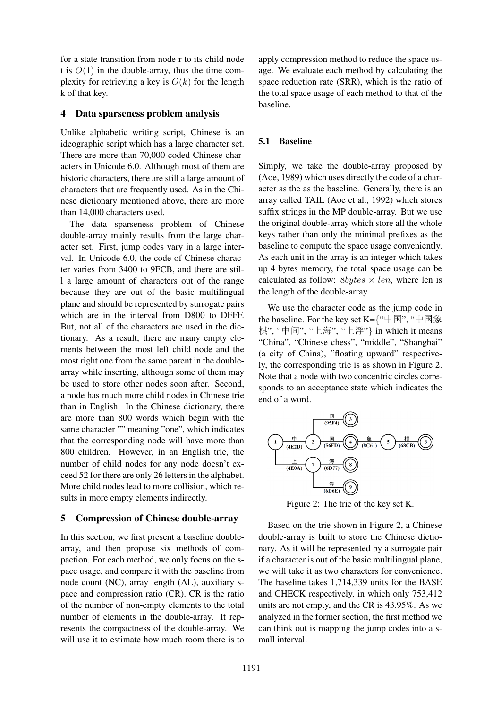for a state transition from node r to its child node t is  $O(1)$  in the double-array, thus the time complexity for retrieving a key is  $O(k)$  for the length k of that key.

### 4 Data sparseness problem analysis

Unlike alphabetic writing script, Chinese is an ideographic script which has a large character set. There are more than 70,000 coded Chinese characters in Unicode 6.0. Although most of them are historic characters, there are still a large amount of characters that are frequently used. As in the Chinese dictionary mentioned above, there are more than 14,000 characters used.

The data sparseness problem of Chinese double-array mainly results from the large character set. First, jump codes vary in a large interval. In Unicode 6.0, the code of Chinese character varies from 3400 to 9FCB, and there are still a large amount of characters out of the range because they are out of the basic multilingual plane and should be represented by surrogate pairs which are in the interval from D800 to DFFF. But, not all of the characters are used in the dictionary. As a result, there are many empty elements between the most left child node and the most right one from the same parent in the doublearray while inserting, although some of them may be used to store other nodes soon after. Second, a node has much more child nodes in Chinese trie than in English. In the Chinese dictionary, there are more than 800 words which begin with the same character "" meaning "one", which indicates that the corresponding node will have more than 800 children. However, in an English trie, the number of child nodes for any node doesn't exceed 52 for there are only 26 letters in the alphabet. More child nodes lead to more collision, which results in more empty elements indirectly.

# 5 Compression of Chinese double-array

In this section, we first present a baseline doublearray, and then propose six methods of compaction. For each method, we only focus on the space usage, and compare it with the baseline from node count (NC), array length (AL), auxiliary space and compression ratio (CR). CR is the ratio of the number of non-empty elements to the total number of elements in the double-array. It represents the compactness of the double-array. We will use it to estimate how much room there is to

apply compression method to reduce the space usage. We evaluate each method by calculating the space reduction rate (SRR), which is the ratio of the total space usage of each method to that of the baseline.

### 5.1 Baseline

Simply, we take the double-array proposed by (Aoe, 1989) which uses directly the code of a character as the as the baseline. Generally, there is an array called TAIL (Aoe et al., 1992) which stores suffix strings in the MP double-array. But we use the original double-array which store all the whole keys rather than only the minimal prefixes as the baseline to compute the space usage conveniently. As each unit in the array is an integer which takes up 4 bytes memory, the total space usage can be calculated as follow:  $8bytes \times len$ , where len is the length of the double-array.

We use the character code as the jump code in the baseline. For the key set K={"中国", "中国象 棋", "中间", "上海", "上浮"} in which it means "China", "Chinese chess", "middle", "Shanghai" (a city of China), "floating upward" respectively, the corresponding trie is as shown in Figure 2. Note that a node with two concentric circles corresponds to an acceptance state which indicates the end of a word.



Figure 2: The trie of the key set K.

Based on the trie shown in Figure 2, a Chinese double-array is built to store the Chinese dictionary. As it will be represented by a surrogate pair if a character is out of the basic multilingual plane, we will take it as two characters for convenience. The baseline takes 1,714,339 units for the BASE and CHECK respectively, in which only 753,412 units are not empty, and the CR is 43.95%. As we analyzed in the former section, the first method we can think out is mapping the jump codes into a small interval.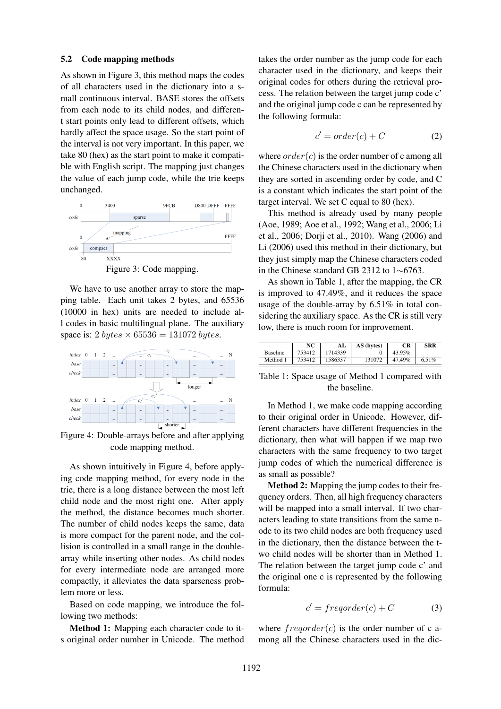#### 5.2 Code mapping methods

As shown in Figure 3, this method maps the codes of all characters used in the dictionary into a small continuous interval. BASE stores the offsets from each node to its child nodes, and different start points only lead to different offsets, which hardly affect the space usage. So the start point of the interval is not very important. In this paper, we take 80 (hex) as the start point to make it compatible with English script. The mapping just changes the value of each jump code, while the trie keeps unchanged.



Figure 3: Code mapping.

We have to use another array to store the mapping table. Each unit takes 2 bytes, and 65536 (10000 in hex) units are needed to include all codes in basic multilingual plane. The auxiliary space is: 2 bytes  $\times$  65536 = 131072 bytes.



Figure 4: Double-arrays before and after applying code mapping method.

As shown intuitively in Figure 4, before applying code mapping method, for every node in the trie, there is a long distance between the most left child node and the most right one. After apply the method, the distance becomes much shorter. The number of child nodes keeps the same, data is more compact for the parent node, and the collision is controlled in a small range in the doublearray while inserting other nodes. As child nodes for every intermediate node are arranged more compactly, it alleviates the data sparseness problem more or less.

Based on code mapping, we introduce the following two methods:

Method 1: Mapping each character code to its original order number in Unicode. The method takes the order number as the jump code for each character used in the dictionary, and keeps their original codes for others during the retrieval process. The relation between the target jump code c' and the original jump code c can be represented by the following formula:

$$
c' = order(c) + C \tag{2}
$$

where  $order(c)$  is the order number of c among all the Chinese characters used in the dictionary when they are sorted in ascending order by code, and C is a constant which indicates the start point of the target interval. We set C equal to 80 (hex).

This method is already used by many people (Aoe, 1989; Aoe et al., 1992; Wang et al., 2006; Li et al., 2006; Dorji et al., 2010). Wang (2006) and Li (2006) used this method in their dictionary, but they just simply map the Chinese characters coded in the Chinese standard GB 2312 to 1∼6763.

As shown in Table 1, after the mapping, the CR is improved to 47.49%, and it reduces the space usage of the double-array by 6.51% in total considering the auxiliary space. As the CR is still very low, there is much room for improvement.

|          | NC     | AL      | AS (bytes) | CR     | <b>SRR</b> |
|----------|--------|---------|------------|--------|------------|
| Baseline | 753412 | 1714339 |            | 43.95% |            |
| Method 1 | 753412 | 1586337 | 131072     | 47.49% | 6.51%      |

Table 1: Space usage of Method 1 compared with the baseline.

In Method 1, we make code mapping according to their original order in Unicode. However, different characters have different frequencies in the dictionary, then what will happen if we map two characters with the same frequency to two target jump codes of which the numerical difference is as small as possible?

Method 2: Mapping the jump codes to their frequency orders. Then, all high frequency characters will be mapped into a small interval. If two characters leading to state transitions from the same node to its two child nodes are both frequency used in the dictionary, then the distance between the two child nodes will be shorter than in Method 1. The relation between the target jump code c' and the original one c is represented by the following formula:

$$
c' = frequency(c) + C \tag{3}
$$

where  $frequency(c)$  is the order number of c among all the Chinese characters used in the dic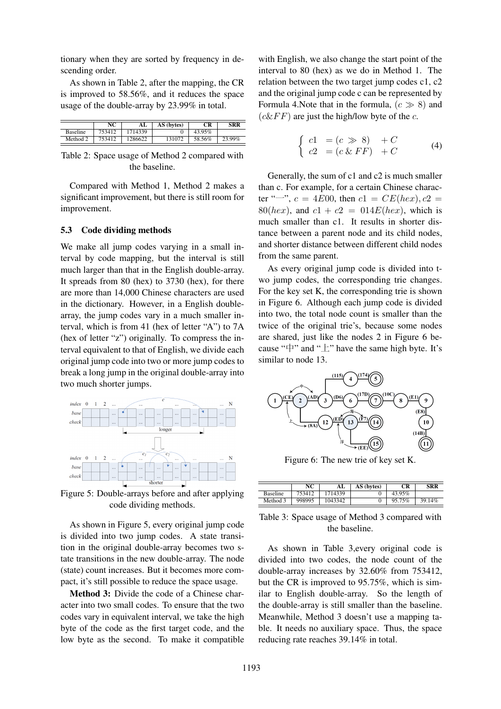tionary when they are sorted by frequency in descending order.

As shown in Table 2, after the mapping, the CR is improved to 58.56%, and it reduces the space usage of the double-array by 23.99% in total.

|                 | NC     | AL      | AS (bytes) | CR     | SRR    |
|-----------------|--------|---------|------------|--------|--------|
| <b>Baseline</b> | 753412 | 1714339 |            | 43.95% |        |
| Method 2        | 753412 | 1286622 | 131072     | 58.56% | 23.99% |

Table 2: Space usage of Method 2 compared with the baseline.

Compared with Method 1, Method 2 makes a significant improvement, but there is still room for improvement.

#### 5.3 Code dividing methods

We make all jump codes varying in a small interval by code mapping, but the interval is still much larger than that in the English double-array. It spreads from 80 (hex) to 3730 (hex), for there are more than 14,000 Chinese characters are used in the dictionary. However, in a English doublearray, the jump codes vary in a much smaller interval, which is from 41 (hex of letter "A") to 7A (hex of letter "z") originally. To compress the interval equivalent to that of English, we divide each original jump code into two or more jump codes to break a long jump in the original double-array into two much shorter jumps.



Figure 5: Double-arrays before and after applying code dividing methods.

As shown in Figure 5, every original jump code is divided into two jump codes. A state transition in the original double-array becomes two state transitions in the new double-array. The node (state) count increases. But it becomes more compact, it's still possible to reduce the space usage.

Method 3: Divide the code of a Chinese character into two small codes. To ensure that the two codes vary in equivalent interval, we take the high byte of the code as the first target code, and the low byte as the second. To make it compatible

with English, we also change the start point of the interval to 80 (hex) as we do in Method 1. The relation between the two target jump codes c1, c2 and the original jump code c can be represented by Formula 4. Note that in the formula,  $(c \gg 8)$  and  $(c\&FF)$  are just the high/low byte of the c.

$$
\begin{cases}\n c1 = (c \gg 8) + C \\
 c2 = (c \& FF) + C\n\end{cases}
$$
\n(4)

Generally, the sum of c1 and c2 is much smaller than c. For example, for a certain Chinese character "<sup>o</sup>",  $c = 4E00$ , then  $c1 = CE(hex)$ ,  $c2 =$ 80(hex), and  $c1 + c2 = 014E$ (hex), which is much smaller than c1. It results in shorter distance between a parent node and its child nodes, and shorter distance between different child nodes from the same parent.

As every original jump code is divided into two jump codes, the corresponding trie changes. For the key set K, the corresponding trie is shown in Figure 6. Although each jump code is divided into two, the total node count is smaller than the twice of the original trie's, because some nodes are shared, just like the nodes 2 in Figure 6 because " $\uparrow$ " and " $\downarrow$ " have the same high byte. It's similar to node 13.



Figure 6: The new trie of key set K.

|                 | NC     | AL      | AS (bytes) | СR     | <b>SRR</b> |
|-----------------|--------|---------|------------|--------|------------|
| <b>Baseline</b> | 753412 | 714339  |            | 43.95% |            |
| Method 3        | 998995 | 1043342 |            | 95.75% | 14%        |

Table 3: Space usage of Method 3 compared with the baseline.

As shown in Table 3,every original code is divided into two codes, the node count of the double-array increases by 32.60% from 753412, but the CR is improved to 95.75%, which is similar to English double-array. So the length of the double-array is still smaller than the baseline. Meanwhile, Method 3 doesn't use a mapping table. It needs no auxiliary space. Thus, the space reducing rate reaches 39.14% in total.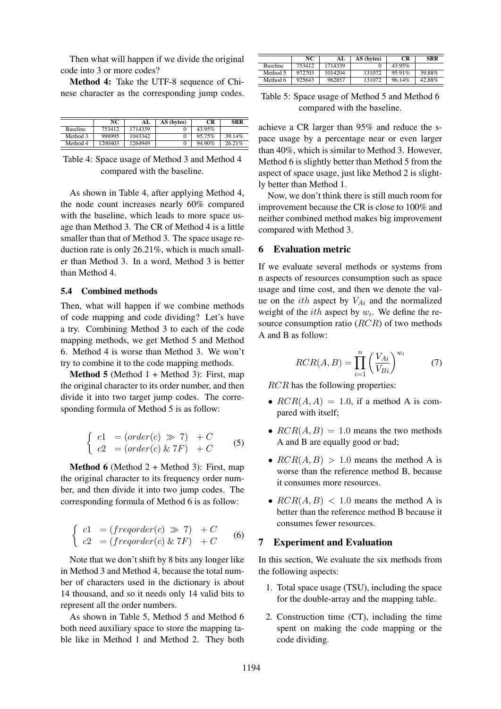Then what will happen if we divide the original code into 3 or more codes?

Method 4: Take the UTF-8 sequence of Chinese character as the corresponding jump codes.

|                 | NC      |         | AS (bytes) | CR     | <b>SRR</b> |
|-----------------|---------|---------|------------|--------|------------|
| <b>Baseline</b> | 753412  | 1714339 |            | 43.95% |            |
| Method 3        | 998995  | 1043342 |            | 95.75% | 39.14%     |
| Method 4        | 1200403 | 1264949 |            | 94.90% | 26.21%     |

Table 4: Space usage of Method 3 and Method 4 compared with the baseline.

As shown in Table 4, after applying Method 4, the node count increases nearly 60% compared with the baseline, which leads to more space usage than Method 3. The CR of Method 4 is a little smaller than that of Method 3. The space usage reduction rate is only 26.21%, which is much smaller than Method 3. In a word, Method 3 is better than Method 4.

# 5.4 Combined methods

Then, what will happen if we combine methods of code mapping and code dividing? Let's have a try. Combining Method 3 to each of the code mapping methods, we get Method 5 and Method 6. Method 4 is worse than Method 3. We won't try to combine it to the code mapping methods.

**Method 5** (Method  $1 +$  Method 3): First, map the original character to its order number, and then divide it into two target jump codes. The corresponding formula of Method 5 is as follow:

$$
\begin{cases}\n c1 = (order(c) \gg 7) + C \\
 c2 = (order(c) \& 7F) + C\n\end{cases}
$$
\n(5)

**Method 6** (Method  $2 +$  Method 3): First, map the original character to its frequency order number, and then divide it into two jump codes. The corresponding formula of Method 6 is as follow:

$$
\begin{cases}\n c1 = (frequency(c) \gg 7) + C \\
 c2 = (frequency(c) \& 7F) + C\n\end{cases}
$$
\n(6)

Note that we don't shift by 8 bits any longer like in Method 3 and Method 4, because the total number of characters used in the dictionary is about 14 thousand, and so it needs only 14 valid bits to represent all the order numbers.

As shown in Table 5, Method 5 and Method 6 both need auxiliary space to store the mapping table like in Method 1 and Method 2. They both

|                 | NC     | AL      | AS (bytes) | CR     | <b>SRR</b> |
|-----------------|--------|---------|------------|--------|------------|
| <b>Baseline</b> | 753412 | 1714339 |            | 43.95% |            |
| Method 5        | 972703 | 1014204 | 131072     | 9591%  | 39.88%     |
| Method 6        | 925643 | 962857  | 131072     | 96.14% | 42.88%     |

Table 5: Space usage of Method 5 and Method 6 compared with the baseline.

achieve a CR larger than 95% and reduce the space usage by a percentage near or even larger than 40%, which is similar to Method 3. However, Method 6 is slightly better than Method 5 from the aspect of space usage, just like Method 2 is slightly better than Method 1.

Now, we don't think there is still much room for improvement because the CR is close to 100% and neither combined method makes big improvement compared with Method 3.

### 6 Evaluation metric

If we evaluate several methods or systems from n aspects of resources consumption such as space usage and time cost, and then we denote the value on the *ith* aspect by  $V_{Ai}$  and the normalized weight of the *ith* aspect by  $w_i$ . We define the resource consumption ratio  $(RCR)$  of two methods A and B as follow:

$$
RCR(A,B) = \prod_{i=1}^{n} \left(\frac{V_{Ai}}{V_{Bi}}\right)^{w_i} \tag{7}
$$

RCR has the following properties:

- $RCR(A, A) = 1.0$ , if a method A is compared with itself;
- $RCR(A, B) = 1.0$  means the two methods A and B are equally good or bad;
- $RCR(A, B) > 1.0$  means the method A is worse than the reference method B, because it consumes more resources.
- $RCR(A, B)$  < 1.0 means the method A is better than the reference method B because it consumes fewer resources.

# 7 Experiment and Evaluation

In this section, We evaluate the six methods from the following aspects:

- 1. Total space usage (TSU), including the space for the double-array and the mapping table.
- 2. Construction time (CT), including the time spent on making the code mapping or the code dividing.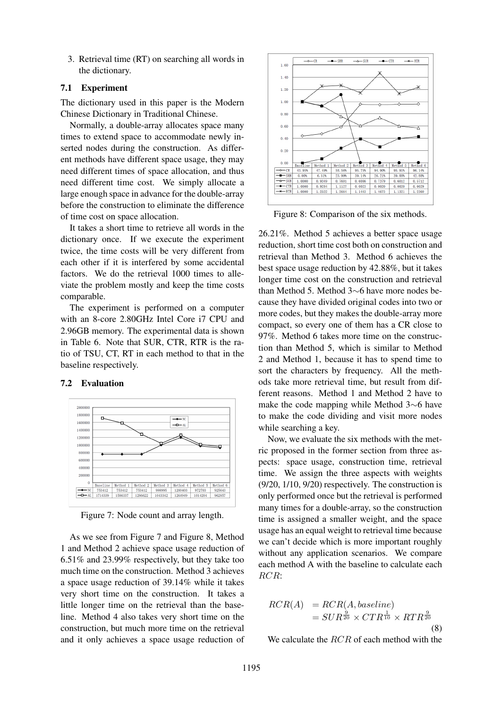3. Retrieval time (RT) on searching all words in the dictionary.

# 7.1 Experiment

The dictionary used in this paper is the Modern Chinese Dictionary in Traditional Chinese.

Normally, a double-array allocates space many times to extend space to accommodate newly inserted nodes during the construction. As different methods have different space usage, they may need different times of space allocation, and thus need different time cost. We simply allocate a large enough space in advance for the double-array before the construction to eliminate the difference of time cost on space allocation.

It takes a short time to retrieve all words in the dictionary once. If we execute the experiment twice, the time costs will be very different from each other if it is interfered by some accidental factors. We do the retrieval 1000 times to alleviate the problem mostly and keep the time costs comparable.

The experiment is performed on a computer with an 8-core 2.80GHz Intel Core i7 CPU and 2.96GB memory. The experimental data is shown in Table 6. Note that SUR, CTR, RTR is the ratio of TSU, CT, RT in each method to that in the baseline respectively.

# 7.2 Evaluation



Figure 7: Node count and array length.

As we see from Figure 7 and Figure 8, Method 1 and Method 2 achieve space usage reduction of 6.51% and 23.99% respectively, but they take too much time on the construction. Method 3 achieves a space usage reduction of 39.14% while it takes very short time on the construction. It takes a little longer time on the retrieval than the baseline. Method 4 also takes very short time on the construction, but much more time on the retrieval and it only achieves a space usage reduction of



Figure 8: Comparison of the six methods.

26.21%. Method 5 achieves a better space usage reduction, short time cost both on construction and retrieval than Method 3. Method 6 achieves the best space usage reduction by 42.88%, but it takes longer time cost on the construction and retrieval than Method 5. Method 3∼6 have more nodes because they have divided original codes into two or more codes, but they makes the double-array more compact, so every one of them has a CR close to 97%. Method 6 takes more time on the construction than Method 5, which is similar to Method 2 and Method 1, because it has to spend time to sort the characters by frequency. All the methods take more retrieval time, but result from different reasons. Method 1 and Method 2 have to make the code mapping while Method 3∼6 have to make the code dividing and visit more nodes while searching a key.

Now, we evaluate the six methods with the metric proposed in the former section from three aspects: space usage, construction time, retrieval time. We assign the three aspects with weights (9/20, 1/10, 9/20) respectively. The construction is only performed once but the retrieval is performed many times for a double-array, so the construction time is assigned a smaller weight, and the space usage has an equal weight to retrieval time because we can't decide which is more important roughly without any application scenarios. We compare each method A with the baseline to calculate each RCR:

$$
RCR(A) = RCR(A, baseline)
$$
  
= 
$$
SUR^{\frac{9}{20}} \times CTR^{\frac{1}{10}} \times RTR^{\frac{9}{20}}
$$
(8)

We calculate the RCR of each method with the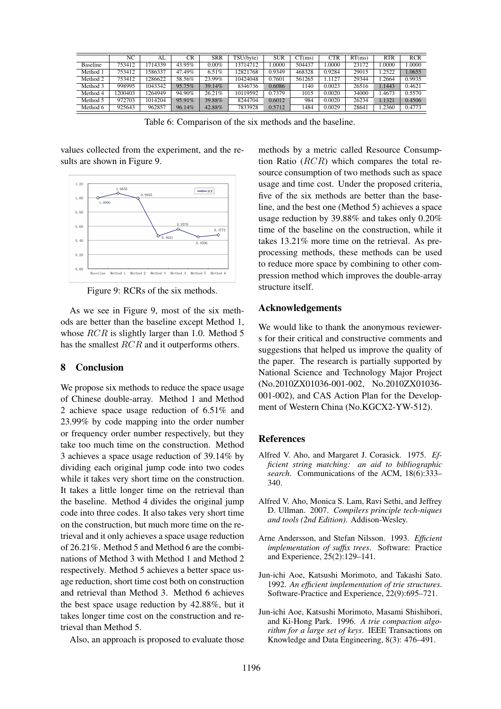|                 | NC                  | AL      | CR     | <b>SRR</b> | TSU(byte) | <b>SUR</b> | CT(ms) | <b>CTR</b> | RT(ms) | RTR    | <b>RCR</b> |
|-----------------|---------------------|---------|--------|------------|-----------|------------|--------|------------|--------|--------|------------|
| <b>Baseline</b> | $753\overline{412}$ | 1714339 | 43.95% | $0.00\%$   | 13714712  | .0000      | 504437 | .0000      | 23172  | 0000.  | .0000      |
| Method 1        | 753412              | 1586337 | 47.49% | 6.51%      | 12821768  | 0.9349     | 468328 | 0.9284     | 29015  | 1.2522 | 1.0655     |
| Method 2        | 753412              | 1286622 | 58.56% | 23.99%     | 10424048  | 0.7601     | 561265 | 1.1127     | 29344  | 1.2664 | 0.9935     |
| Method 3        | 998995              | 1043342 | 95.75% | 39.14%     | 8346736   | 0.6086     | 140    | 0.0023     | 26516  | 1.1443 | 0.4621     |
| Method 4        | 200403              | 1264949 | 94.90% | 26.21%     | 10119592  | 0.7379     | 1015   | 0.0020     | 34000  | 1.4673 | 0.5570     |
| Method 5        | 972703              | 1014204 | 95.91% | 39.88%     | 8244704   | 0.6012     | 984    | 0.0020     | 26234  | 1.1321 | 0.4506     |
| Method 6        | 925643              | 962857  | 96.14% | 42.88%     | 7833928   | 0.5712     | 484    | 0.0029     | 28641  | .2360  | 0.4773     |

Table 6: Comparison of the six methods and the baseline.

values collected from the experiment, and the results are shown in Figure 9.



Figure 9: RCRs of the six methods.

As we see in Figure 9, most of the six methods are better than the baseline except Method 1, whose *RCR* is slightly larger than 1.0. Method 5 has the smallest RCR and it outperforms others.

### 8 Conclusion

We propose six methods to reduce the space usage of Chinese double-array. Method 1 and Method 2 achieve space usage reduction of 6.51% and 23.99% by code mapping into the order number or frequency order number respectively, but they take too much time on the construction. Method 3 achieves a space usage reduction of 39.14% by dividing each original jump code into two codes while it takes very short time on the construction. It takes a little longer time on the retrieval than the baseline. Method 4 divides the original jump code into three codes. It also takes very short time on the construction, but much more time on the retrieval and it only achieves a space usage reduction of 26.21%. Method 5 and Method 6 are the combinations of Method 3 with Method 1 and Method 2 respectively. Method 5 achieves a better space usage reduction, short time cost both on construction and retrieval than Method 3. Method 6 achieves the best space usage reduction by 42.88%, but it takes longer time cost on the construction and retrieval than Method 5.

Also, an approach is proposed to evaluate those

methods by a metric called Resource Consumption Ratio  $(RCR)$  which compares the total resource consumption of two methods such as space usage and time cost. Under the proposed criteria, five of the six methods are better than the baseline, and the best one (Method 5) achieves a space usage reduction by 39.88% and takes only 0.20% time of the baseline on the construction, while it takes 13.21% more time on the retrieval. As preprocessing methods, these methods can be used to reduce more space by combining to other compression method which improves the double-array structure itself.

### Acknowledgements

We would like to thank the anonymous reviewers for their critical and constructive comments and suggestions that helped us improve the quality of the paper. The research is partially supported by National Science and Technology Major Project (No.2010ZX01036-001-002, No.2010ZX01036- 001-002), and CAS Action Plan for the Development of Western China (No.KGCX2-YW-512).

### **References**

- Alfred V. Aho, and Margaret J. Corasick. 1975. *Efficient string matching: an aid to bibliographic search*. Communications of the ACM, 18(6):333– 340.
- Alfred V. Aho, Monica S. Lam, Ravi Sethi, and Jeffrey D. Ullman. 2007. *Compilers principle tech-niques and tools (2nd Edition)*. Addison-Wesley.
- Arne Andersson, and Stefan Nilsson. 1993. *Efficient implementation of suffix trees*. Software: Practice and Experience, 25(2):129–141.
- Jun-ichi Aoe, Katsushi Morimoto, and Takashi Sato. 1992. *An efficient implementation of trie structures*. Software-Practice and Experience, 22(9):695–721.
- Jun-ichi Aoe, Katsushi Morimoto, Masami Shishibori, and Ki-Hong Park. 1996. *A trie compaction algorithm for a large set of keys*. IEEE Transactions on Knowledge and Data Engineering, 8(3): 476–491.